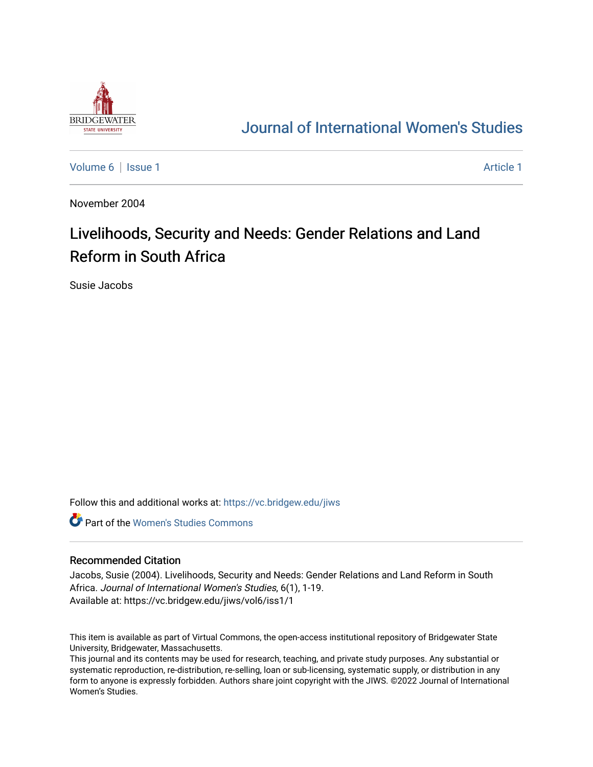

## [Journal of International Women's Studies](https://vc.bridgew.edu/jiws)

[Volume 6](https://vc.bridgew.edu/jiws/vol6) | [Issue 1](https://vc.bridgew.edu/jiws/vol6/iss1) Article 1

November 2004

# Livelihoods, Security and Needs: Gender Relations and Land Reform in South Africa

Susie Jacobs

Follow this and additional works at: [https://vc.bridgew.edu/jiws](https://vc.bridgew.edu/jiws?utm_source=vc.bridgew.edu%2Fjiws%2Fvol6%2Fiss1%2F1&utm_medium=PDF&utm_campaign=PDFCoverPages)

**C** Part of the Women's Studies Commons

#### Recommended Citation

Jacobs, Susie (2004). Livelihoods, Security and Needs: Gender Relations and Land Reform in South Africa. Journal of International Women's Studies, 6(1), 1-19. Available at: https://vc.bridgew.edu/jiws/vol6/iss1/1

This item is available as part of Virtual Commons, the open-access institutional repository of Bridgewater State University, Bridgewater, Massachusetts.

This journal and its contents may be used for research, teaching, and private study purposes. Any substantial or systematic reproduction, re-distribution, re-selling, loan or sub-licensing, systematic supply, or distribution in any form to anyone is expressly forbidden. Authors share joint copyright with the JIWS. ©2022 Journal of International Women's Studies.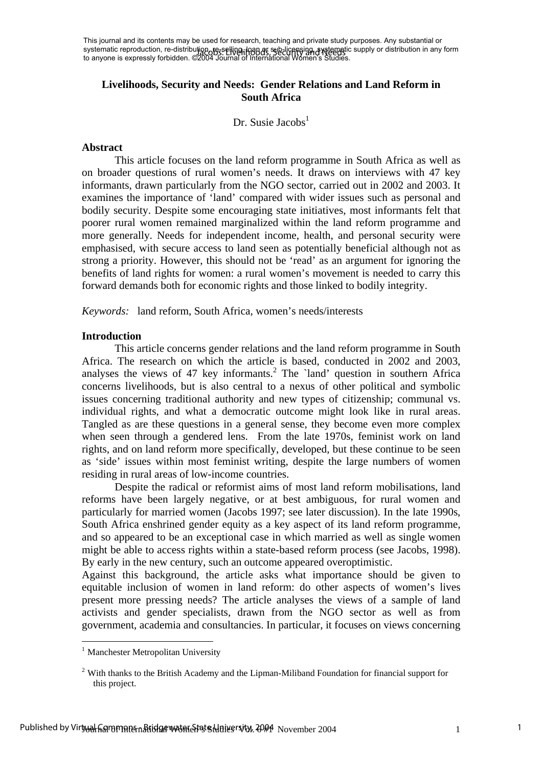This journal and its contents may be used for research, teaching and private study purposes. Any substantial or systematic reproduction, re-distribution, re-selling, loan at sub-licensing, systematic supply or distribution in any form systematic reproduction, re-distributions of Security and Needs<br>to anyone is expressly forbidden. ©2004 Journal of International Women's Studies.

## **Livelihoods, Security and Needs: Gender Relations and Land Reform in South Africa**

Dr. Susie Jacobs $<sup>1</sup>$  $<sup>1</sup>$  $<sup>1</sup>$ </sup>

#### **Abstract**

This article focuses on the land reform programme in South Africa as well as on broader questions of rural women's needs. It draws on interviews with 47 key informants, drawn particularly from the NGO sector, carried out in 2002 and 2003. It examines the importance of 'land' compared with wider issues such as personal and bodily security. Despite some encouraging state initiatives, most informants felt that poorer rural women remained marginalized within the land reform programme and more generally. Needs for independent income, health, and personal security were emphasised, with secure access to land seen as potentially beneficial although not as strong a priority. However, this should not be 'read' as an argument for ignoring the benefits of land rights for women: a rural women's movement is needed to carry this forward demands both for economic rights and those linked to bodily integrity.

*Keywords:* land reform, South Africa, women's needs/interests

## **Introduction**

This article concerns gender relations and the land reform programme in South Africa. The research on which the article is based, conducted in 2002 and 2003, analysesthe views of 47 key informants.<sup>2</sup> The `land' question in southern Africa concerns livelihoods, but is also central to a nexus of other political and symbolic issues concerning traditional authority and new types of citizenship; communal vs. individual rights, and what a democratic outcome might look like in rural areas. Tangled as are these questions in a general sense, they become even more complex when seen through a gendered lens. From the late 1970s, feminist work on land rights, and on land reform more specifically, developed, but these continue to be seen as 'side' issues within most feminist writing, despite the large numbers of women residing in rural areas of low-income countries.

Despite the radical or reformist aims of most land reform mobilisations, land reforms have been largely negative, or at best ambiguous, for rural women and particularly for married women (Jacobs 1997; see later discussion). In the late 1990s, South Africa enshrined gender equity as a key aspect of its land reform programme, and so appeared to be an exceptional case in which married as well as single women might be able to access rights within a state-based reform process (see Jacobs, 1998). By early in the new century, such an outcome appeared overoptimistic.

Against this background, the article asks what importance should be given to equitable inclusion of women in land reform: do other aspects of women's lives present more pressing needs? The article analyses the views of a sample of land activists and gender specialists, drawn from the NGO sector as well as from government, academia and consultancies. In particular, it focuses on views concerning

 $\overline{a}$ 

<span id="page-1-0"></span><sup>&</sup>lt;sup>1</sup> Manchester Metropolitan University

<span id="page-1-1"></span><sup>&</sup>lt;sup>2</sup> With thanks to the British Academy and the Lipman-Miliband Foundation for financial support for this project.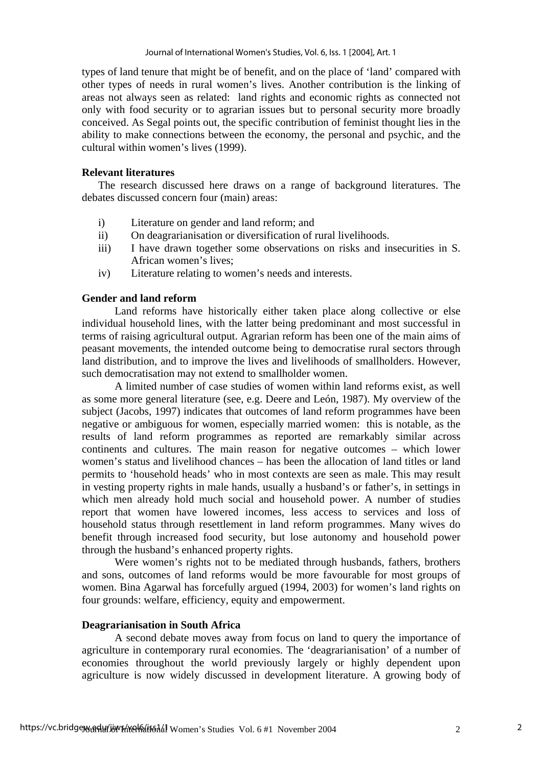types of land tenure that might be of benefit, and on the place of 'land' compared with other types of needs in rural women's lives. Another contribution is the linking of areas not always seen as related: land rights and economic rights as connected not only with food security or to agrarian issues but to personal security more broadly conceived. As Segal points out, the specific contribution of feminist thought lies in the ability to make connections between the economy, the personal and psychic, and the cultural within women's lives (1999).

## **Relevant literatures**

The research discussed here draws on a range of background literatures. The debates discussed concern four (main) areas:

- i) Literature on gender and land reform; and
- ii) On deagrarianisation or diversification of rural livelihoods.
- iii) I have drawn together some observations on risks and insecurities in S. African women's lives;
- iv) Literature relating to women's needs and interests.

## **Gender and land reform**

Land reforms have historically either taken place along collective or else individual household lines, with the latter being predominant and most successful in terms of raising agricultural output. Agrarian reform has been one of the main aims of peasant movements, the intended outcome being to democratise rural sectors through land distribution, and to improve the lives and livelihoods of smallholders. However, such democratisation may not extend to smallholder women.

A limited number of case studies of women within land reforms exist, as well as some more general literature (see, e.g. Deere and León, 1987). My overview of the subject (Jacobs, 1997) indicates that outcomes of land reform programmes have been negative or ambiguous for women, especially married women: this is notable, as the results of land reform programmes as reported are remarkably similar across continents and cultures. The main reason for negative outcomes – which lower women's status and livelihood chances – has been the allocation of land titles or land permits to 'household heads' who in most contexts are seen as male. This may result in vesting property rights in male hands, usually a husband's or father's, in settings in which men already hold much social and household power. A number of studies report that women have lowered incomes, less access to services and loss of household status through resettlement in land reform programmes. Many wives do benefit through increased food security, but lose autonomy and household power through the husband's enhanced property rights.

Were women's rights not to be mediated through husbands, fathers, brothers and sons, outcomes of land reforms would be more favourable for most groups of women. Bina Agarwal has forcefully argued (1994, 2003) for women's land rights on four grounds: welfare, efficiency, equity and empowerment.

## **Deagrarianisation in South Africa**

A second debate moves away from focus on land to query the importance of agriculture in contemporary rural economies. The 'deagrarianisation' of a number of economies throughout the world previously largely or highly dependent upon agriculture is now widely discussed in development literature. A growing body of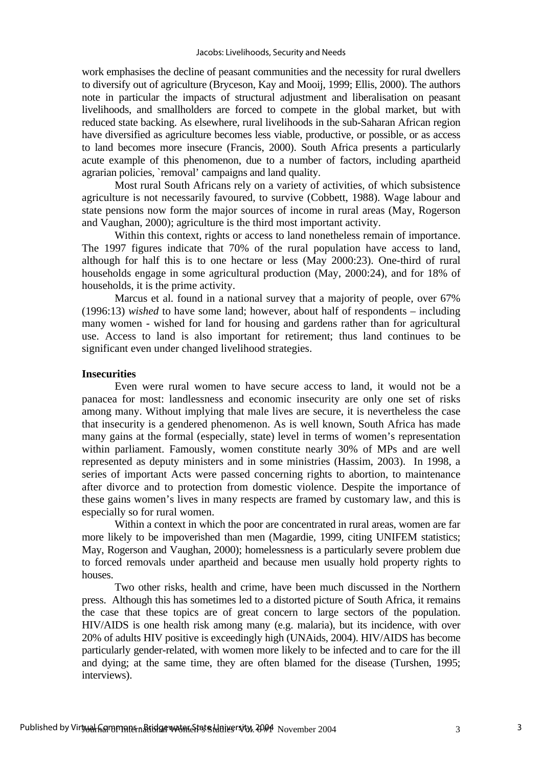work emphasises the decline of peasant communities and the necessity for rural dwellers to diversify out of agriculture (Bryceson, Kay and Mooij, 1999; Ellis, 2000). The authors note in particular the impacts of structural adjustment and liberalisation on peasant livelihoods, and smallholders are forced to compete in the global market, but with reduced state backing. As elsewhere, rural livelihoods in the sub-Saharan African region have diversified as agriculture becomes less viable, productive, or possible, or as access to land becomes more insecure (Francis, 2000). South Africa presents a particularly acute example of this phenomenon, due to a number of factors, including apartheid agrarian policies, `removal' campaigns and land quality.

 Most rural South Africans rely on a variety of activities, of which subsistence agriculture is not necessarily favoured, to survive (Cobbett, 1988). Wage labour and state pensions now form the major sources of income in rural areas (May, Rogerson and Vaughan, 2000); agriculture is the third most important activity.

 Within this context, rights or access to land nonetheless remain of importance. The 1997 figures indicate that 70% of the rural population have access to land, although for half this is to one hectare or less (May 2000:23). One-third of rural households engage in some agricultural production (May, 2000:24), and for 18% of households, it is the prime activity.

 Marcus et al. found in a national survey that a majority of people*,* over 67% (1996:13) *wished* to have some land; however, about half of respondents – including many women - wished for land for housing and gardens rather than for agricultural use. Access to land is also important for retirement; thus land continues to be significant even under changed livelihood strategies.

## **Insecurities**

Even were rural women to have secure access to land, it would not be a panacea for most: landlessness and economic insecurity are only one set of risks among many. Without implying that male lives are secure, it is nevertheless the case that insecurity is a gendered phenomenon. As is well known, South Africa has made many gains at the formal (especially, state) level in terms of women's representation within parliament. Famously, women constitute nearly 30% of MPs and are well represented as deputy ministers and in some ministries (Hassim, 2003). In 1998, a series of important Acts were passed concerning rights to abortion, to maintenance after divorce and to protection from domestic violence. Despite the importance of these gains women's lives in many respects are framed by customary law, and this is especially so for rural women.

 Within a context in which the poor are concentrated in rural areas, women are far more likely to be impoverished than men (Magardie, 1999, citing UNIFEM statistics; May, Rogerson and Vaughan, 2000); homelessness is a particularly severe problem due to forced removals under apartheid and because men usually hold property rights to houses.

 Two other risks, health and crime, have been much discussed in the Northern press. Although this has sometimes led to a distorted picture of South Africa, it remains the case that these topics are of great concern to large sectors of the population. HIV/AIDS is one health risk among many (e.g. malaria), but its incidence, with over 20% of adults HIV positive is exceedingly high (UNAids, 2004). HIV/AIDS has become particularly gender-related, with women more likely to be infected and to care for the ill and dying; at the same time, they are often blamed for the disease (Turshen, 1995; interviews).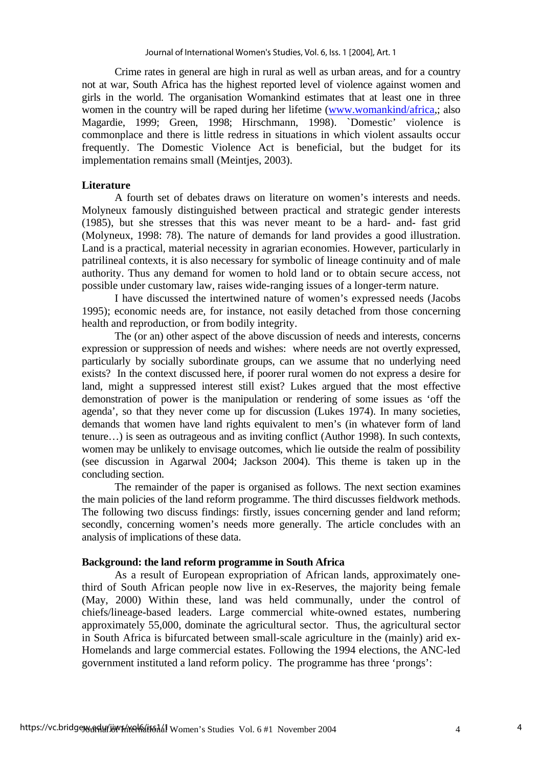Crime rates in general are high in rural as well as urban areas, and for a country not at war, South Africa has the highest reported level of violence against women and girls in the world. The organisation Womankind estimates that at least one in three women in the country will be raped during her lifetime ([www.womankind/africa](http://www.womankind/africa),; also Magardie, 1999; Green, 1998; Hirschmann, 1998). `Domestic' violence is commonplace and there is little redress in situations in which violent assaults occur frequently. The Domestic Violence Act is beneficial, but the budget for its implementation remains small (Meintjes, 2003).

## **Literature**

 A fourth set of debates draws on literature on women's interests and needs. Molyneux famously distinguished between practical and strategic gender interests (1985), but she stresses that this was never meant to be a hard- and- fast grid (Molyneux, 1998: 78). The nature of demands for land provides a good illustration. Land is a practical, material necessity in agrarian economies. However, particularly in patrilineal contexts, it is also necessary for symbolic of lineage continuity and of male authority. Thus any demand for women to hold land or to obtain secure access, not possible under customary law, raises wide-ranging issues of a longer-term nature.

 I have discussed the intertwined nature of women's expressed needs (Jacobs 1995); economic needs are, for instance, not easily detached from those concerning health and reproduction, or from bodily integrity.

 The (or an) other aspect of the above discussion of needs and interests, concerns expression or suppression of needs and wishes: where needs are not overtly expressed, particularly by socially subordinate groups, can we assume that no underlying need exists? In the context discussed here, if poorer rural women do not express a desire for land, might a suppressed interest still exist? Lukes argued that the most effective demonstration of power is the manipulation or rendering of some issues as 'off the agenda', so that they never come up for discussion (Lukes 1974). In many societies, demands that women have land rights equivalent to men's (in whatever form of land tenure…) is seen as outrageous and as inviting conflict (Author 1998). In such contexts, women may be unlikely to envisage outcomes, which lie outside the realm of possibility (see discussion in Agarwal 2004; Jackson 2004). This theme is taken up in the concluding section.

 The remainder of the paper is organised as follows. The next section examines the main policies of the land reform programme. The third discusses fieldwork methods. The following two discuss findings: firstly, issues concerning gender and land reform; secondly, concerning women's needs more generally. The article concludes with an analysis of implications of these data.

## **Background: the land reform programme in South Africa**

As a result of European expropriation of African lands, approximately onethird of South African people now live in ex-Reserves, the majority being female (May, 2000) Within these, land was held communally, under the control of chiefs/lineage-based leaders. Large commercial white-owned estates, numbering approximately 55,000, dominate the agricultural sector. Thus, the agricultural sector in South Africa is bifurcated between small-scale agriculture in the (mainly) arid ex-Homelands and large commercial estates. Following the 1994 elections, the ANC-led government instituted a land reform policy. The programme has three 'prongs':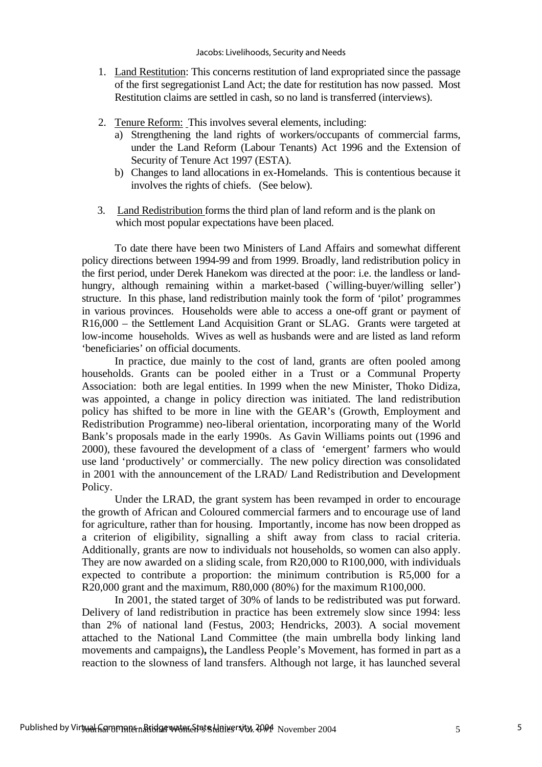- 1. Land Restitution: This concerns restitution of land expropriated since the passage of the first segregationist Land Act; the date for restitution has now passed. Most Restitution claims are settled in cash, so no land is transferred (interviews).
- 2. Tenure Reform: This involves several elements, including:
	- a) Strengthening the land rights of workers/occupants of commercial farms, under the Land Reform (Labour Tenants) Act 1996 and the Extension of Security of Tenure Act 1997 (ESTA).
	- b) Changes to land allocations in ex-Homelands. This is contentious because it involves the rights of chiefs. (See below).
- 3. Land Redistribution forms the third plan of land reform and is the plank on which most popular expectations have been placed.

 To date there have been two Ministers of Land Affairs and somewhat different policy directions between 1994-99 and from 1999. Broadly, land redistribution policy in the first period, under Derek Hanekom was directed at the poor: i.e. the landless or landhungry, although remaining within a market-based (`willing-buyer/willing seller') structure. In this phase, land redistribution mainly took the form of 'pilot' programmes in various provinces. Households were able to access a one-off grant or payment of R16,000 – the Settlement Land Acquisition Grant or SLAG. Grants were targeted at low-income households. Wives as well as husbands were and are listed as land reform 'beneficiaries' on official documents.

 In practice, due mainly to the cost of land, grants are often pooled among households. Grants can be pooled either in a Trust or a Communal Property Association: both are legal entities. In 1999 when the new Minister, Thoko Didiza, was appointed, a change in policy direction was initiated. The land redistribution policy has shifted to be more in line with the GEAR's (Growth, Employment and Redistribution Programme) neo-liberal orientation, incorporating many of the World Bank's proposals made in the early 1990s. As Gavin Williams points out (1996 and 2000), these favoured the development of a class of 'emergent' farmers who would use land 'productively' or commercially. The new policy direction was consolidated in 2001 with the announcement of the LRAD/ Land Redistribution and Development Policy.

Under the LRAD, the grant system has been revamped in order to encourage the growth of African and Coloured commercial farmers and to encourage use of land for agriculture, rather than for housing. Importantly, income has now been dropped as a criterion of eligibility, signalling a shift away from class to racial criteria. Additionally, grants are now to individual*s* not households, so women can also apply. They are now awarded on a sliding scale, from R20,000 to R100,000, with individuals expected to contribute a proportion: the minimum contribution is R5,000 for a R20,000 grant and the maximum, R80,000 (80%) for the maximum R100,000.

In 2001, the stated target of 30% of lands to be redistributed was put forward. Delivery of land redistribution in practice has been extremely slow since 1994: less than 2% of national land (Festus, 2003; Hendricks, 2003). A social movement attached to the National Land Committee (the main umbrella body linking land movements and campaigns)**,** the Landless People's Movement, has formed in part as a reaction to the slowness of land transfers. Although not large, it has launched several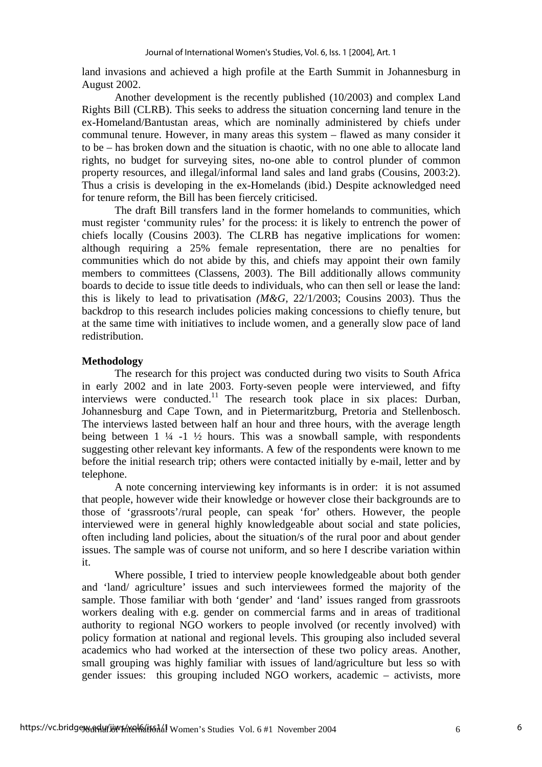land invasions and achieved a high profile at the Earth Summit in Johannesburg in August 2002.

Another development is the recently published (10/2003) and complex Land Rights Bill (CLRB). This seeks to address the situation concerning land tenure in the ex-Homeland/Bantustan areas, which are nominally administered by chiefs under communal tenure. However, in many areas this system – flawed as many consider it to be – has broken down and the situation is chaotic, with no one able to allocate land rights, no budget for surveying sites, no-one able to control plunder of common property resources, and illegal/informal land sales and land grabs (Cousins, 2003:2). Thus a crisis is developing in the ex-Homelands (ibid.) Despite acknowledged need for tenure reform, the Bill has been fiercely criticised.

The draft Bill transfers land in the former homelands to communities, which must register 'community rules' for the process: it is likely to entrench the power of chiefs locally (Cousins 2003). The CLRB has negative implications for women: although requiring a 25% female representation, there are no penalties for communities which do not abide by this, and chiefs may appoint their own family members to committees (Classens, 2003). The Bill additionally allows community boards to decide to issue title deeds to individuals, who can then sell or lease the land: this is likely to lead to privatisation *(M&G,* 22/1/2003; Cousins 2003). Thus the backdrop to this research includes policies making concessions to chiefly tenure, but at the same time with initiatives to include women, and a generally slow pace of land redistribution.

## **Methodology**

The research for this project was conducted during two visits to South Africa in early 2002 and in late 2003. Forty-seven people were interviewed, and fifty interviews were conducted.<sup>[1](#page-19-0)1</sup> The research took place in six places: Durban, Johannesburg and Cape Town, and in Pietermaritzburg, Pretoria and Stellenbosch. The interviews lasted between half an hour and three hours, with the average length being between  $1\frac{1}{4}$  -1  $\frac{1}{2}$  hours. This was a snowball sample, with respondents suggesting other relevant key informants. A few of the respondents were known to me before the initial research trip; others were contacted initially by e-mail, letter and by telephone.

A note concerning interviewing key informants is in order: it is not assumed that people, however wide their knowledge or however close their backgrounds are to those of 'grassroots'/rural people, can speak 'for' others. However, the people interviewed were in general highly knowledgeable about social and state policies, often including land policies, about the situation/s of the rural poor and about gender issues. The sample was of course not uniform, and so here I describe variation within it.

Where possible, I tried to interview people knowledgeable about both gender and 'land/ agriculture' issues and such interviewees formed the majority of the sample. Those familiar with both 'gender' and 'land' issues ranged from grassroots workers dealing with e.g. gender on commercial farms and in areas of traditional authority to regional NGO workers to people involved (or recently involved) with policy formation at national and regional levels. This grouping also included several academics who had worked at the intersection of these two policy areas. Another, small grouping was highly familiar with issues of land/agriculture but less so with gender issues: this grouping included NGO workers, academic – activists, more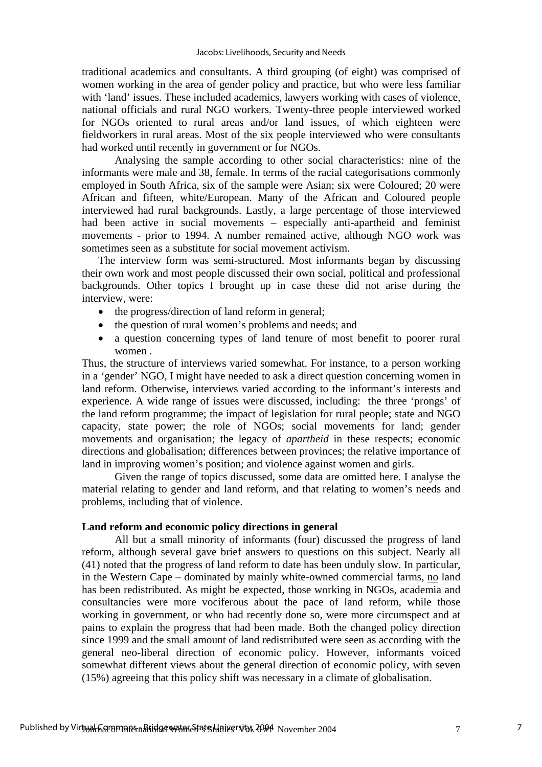traditional academics and consultants. A third grouping (of eight) was comprised of women working in the area of gender policy and practice, but who were less familiar with 'land' issues. These included academics, lawyers working with cases of violence, national officials and rural NGO workers. Twenty-three people interviewed worked for NGOs oriented to rural areas and/or land issues, of which eighteen were fieldworkers in rural areas. Most of the six people interviewed who were consultants had worked until recently in government or for NGOs.

Analysing the sample according to other social characteristics: nine of the informants were male and 38, female. In terms of the racial categorisations commonly employed in South Africa, six of the sample were Asian; six were Coloured; 20 were African and fifteen, white/European. Many of the African and Coloured people interviewed had rural backgrounds. Lastly, a large percentage of those interviewed had been active in social movements – especially anti-apartheid and feminist movements - prior to 1994. A number remained active, although NGO work was sometimes seen as a substitute for social movement activism.

The interview form was semi-structured. Most informants began by discussing their own work and most people discussed their own social, political and professional backgrounds. Other topics I brought up in case these did not arise during the interview, were:

- the progress/direction of land reform in general;
- the question of rural women's problems and needs; and
- a question concerning types of land tenure of most benefit to poorer rural women .

Thus, the structure of interviews varied somewhat. For instance, to a person working in a 'gender' NGO, I might have needed to ask a direct question concerning women in land reform. Otherwise, interviews varied according to the informant's interests and experience. A wide range of issues were discussed, including: the three 'prongs' of the land reform programme; the impact of legislation for rural people; state and NGO capacity, state power; the role of NGOs; social movements for land; gender movements and organisation; the legacy of *apartheid* in these respects; economic directions and globalisation; differences between provinces; the relative importance of land in improving women's position; and violence against women and girls.

Given the range of topics discussed, some data are omitted here. I analyse the material relating to gender and land reform, and that relating to women's needs and problems, including that of violence.

## **Land reform and economic policy directions in general**

All but a small minority of informants (four) discussed the progress of land reform, although several gave brief answers to questions on this subject. Nearly all (41) noted that the progress of land reform to date has been unduly slow. In particular, in the Western Cape – dominated by mainly white-owned commercial farms, no land has been redistributed. As might be expected, those working in NGOs, academia and consultancies were more vociferous about the pace of land reform, while those working in government, or who had recently done so, were more circumspect and at pains to explain the progress that had been made. Both the changed policy direction since 1999 and the small amount of land redistributed were seen as according with the general neo-liberal direction of economic policy. However, informants voiced somewhat different views about the general direction of economic policy, with seven (15%) agreeing that this policy shift was necessary in a climate of globalisation.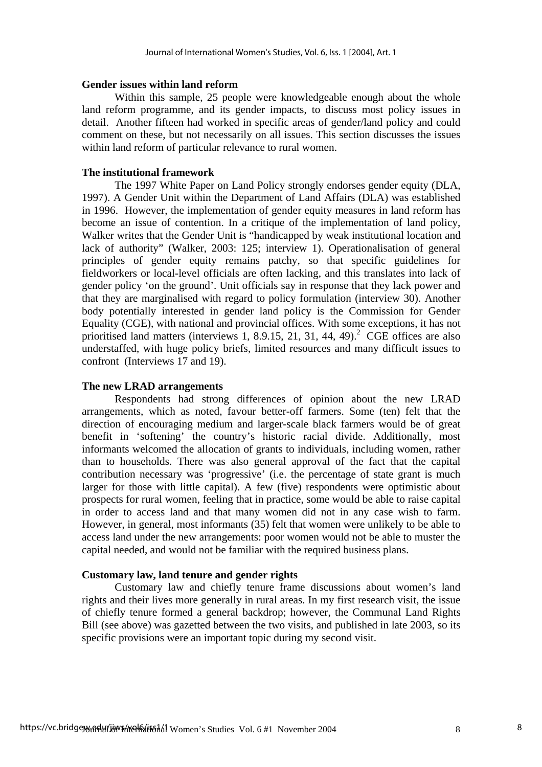#### **Gender issues within land reform**

Within this sample, 25 people were knowledgeable enough about the whole land reform programme, and its gender impacts, to discuss most policy issues in detail. Another fifteen had worked in specific areas of gender/land policy and could comment on these, but not necessarily on all issues. This section discusses the issues within land reform of particular relevance to rural women.

#### **The institutional framework**

The 1997 White Paper on Land Policy strongly endorses gender equity (DLA, 1997). A Gender Unit within the Department of Land Affairs (DLA) was established in 1996. However, the implementation of gender equity measures in land reform has become an issue of contention. In a critique of the implementation of land policy, Walker writes that the Gender Unit is "handicapped by weak institutional location and lack of authority" (Walker, 2003: 125; interview 1). Operationalisation of general principles of gender equity remains patchy, so that specific guidelines for fieldworkers or local-level officials are often lacking, and this translates into lack of gender policy 'on the ground'. Unit officials say in response that they lack power and that they are marginalised with regard to policy formulation (interview 30). Another body potentially interested in gender land policy is the Commission for Gender Equality (CGE), with national and provincial offices. With some exceptions, it has not prioritised land matters (interviews 1, 8.9.15, 21, 31, 44, 49).<sup>2</sup> CGE offices are also understaffed, with huge policy briefs, limited resources and many difficult issues to confront (Interviews 17 and 19).

#### **The new LRAD arrangements**

Respondents had strong differences of opinion about the new LRAD arrangements, which as noted, favour better-off farmers. Some (ten) felt that the direction of encouraging medium and larger-scale black farmers would be of great benefit in 'softening' the country's historic racial divide. Additionally, most informants welcomed the allocation of grants to individuals, including women, rather than to households. There was also general approval of the fact that the capital contribution necessary was 'progressive' (i.e. the percentage of state grant is much larger for those with little capital). A few (five) respondents were optimistic about prospects for rural women, feeling that in practice, some would be able to raise capital in order to access land and that many women did not in any case wish to farm. However, in general, most informants (35) felt that women were unlikely to be able to access land under the new arrangements: poor women would not be able to muster the capital needed, and would not be familiar with the required business plans.

## **Customary law, land tenure and gender rights**

Customary law and chiefly tenure frame discussions about women's land rights and their lives more generally in rural areas. In my first research visit, the issue of chiefly tenure formed a general backdrop; however, the Communal Land Rights Bill (see above) was gazetted between the two visits, and published in late 2003, so its specific provisions were an important topic during my second visit.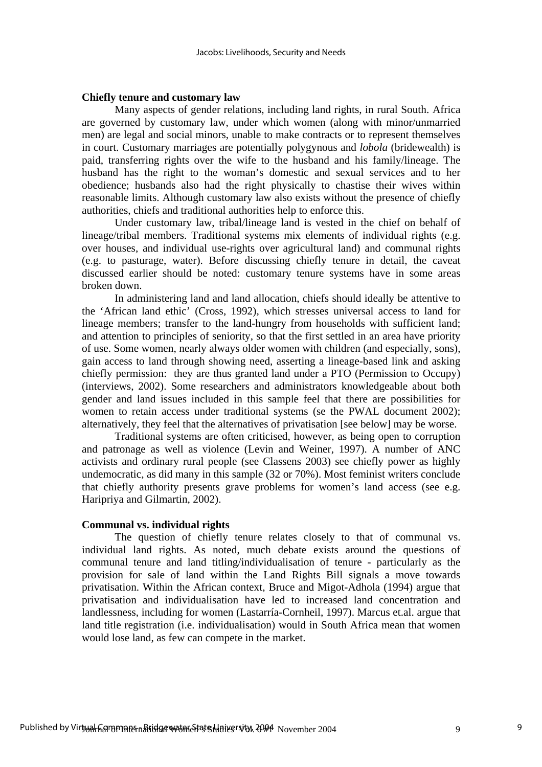#### **Chiefly tenure and customary law**

Many aspects of gender relations, including land rights, in rural South. Africa are governed by customary law, under which women (along with minor/unmarried men) are legal and social minors, unable to make contracts or to represent themselves in court. Customary marriages are potentially polygynous and *lobola* (bridewealth) is paid, transferring rights over the wife to the husband and his family/lineage. The husband has the right to the woman's domestic and sexual services and to her obedience; husbands also had the right physically to chastise their wives within reasonable limits. Although customary law also exists without the presence of chiefly authorities, chiefs and traditional authorities help to enforce this.

Under customary law, tribal/lineage land is vested in the chief on behalf of lineage/tribal members. Traditional systems mix elements of individual rights (e.g. over houses, and individual use-rights over agricultural land) and communal rights (e.g. to pasturage, water). Before discussing chiefly tenure in detail, the caveat discussed earlier should be noted: customary tenure systems have in some areas broken down.

In administering land and land allocation, chiefs should ideally be attentive to the 'African land ethic' (Cross, 1992), which stresses universal access to land for lineage members; transfer to the land-hungry from households with sufficient land; and attention to principles of seniority, so that the first settled in an area have priority of use. Some women, nearly always older women with children (and especially, sons), gain access to land through showing need, asserting a lineage-based link and asking chiefly permission: they are thus granted land under a PTO (Permission to Occupy) (interviews, 2002). Some researchers and administrators knowledgeable about both gender and land issues included in this sample feel that there are possibilities for women to retain access under traditional systems (se the PWAL document 2002); alternatively, they feel that the alternatives of privatisation [see below] may be worse.

Traditional systems are often criticised, however, as being open to corruption and patronage as well as violence (Levin and Weiner, 1997). A number of ANC activists and ordinary rural people (see Classens 2003) see chiefly power as highly undemocratic, as did many in this sample (32 or 70%). Most feminist writers conclude that chiefly authority presents grave problems for women's land access (see e.g. Haripriya and Gilmartin, 2002).

#### **Communal vs. individual rights**

The question of chiefly tenure relates closely to that of communal vs. individual land rights. As noted, much debate exists around the questions of communal tenure and land titling/individualisation of tenure - particularly as the provision for sale of land within the Land Rights Bill signals a move towards privatisation. Within the African context, Bruce and Migot-Adhola (1994) argue that privatisation and individualisation have led to increased land concentration and landlessness, including for women (Lastarría-Cornheil, 1997). Marcus et.al. argue that land title registration (i.e. individualisation) would in South Africa mean that women would lose land, as few can compete in the market.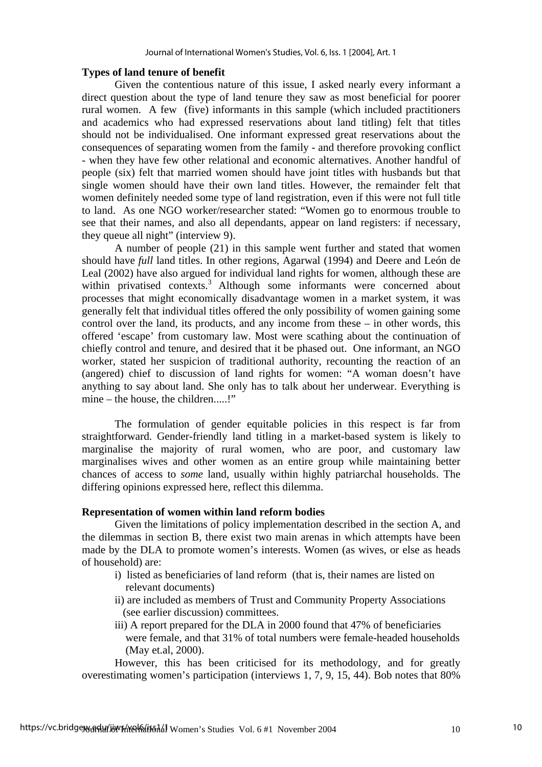## **Types of land tenure of benefit**

Given the contentious nature of this issue, I asked nearly every informant a direct question about the type of land tenure they saw as most beneficial for poorer rural women. A few (five) informants in this sample (which included practitioners and academics who had expressed reservations about land titling) felt that titles should not be individualised. One informant expressed great reservations about the consequences of separating women from the family - and therefore provoking conflict - when they have few other relational and economic alternatives. Another handful of people (six) felt that married women should have joint titles with husbands but that single women should have their own land titles. However, the remainder felt that women definitely needed some type of land registration, even if this were not full title to land. As one NGO worker/researcher stated: "Women go to enormous trouble to see that their names, and also all dependants, appear on land registers: if necessary, they queue all night" (interview 9).

A number of people (21) in this sample went further and stated that women should have *full* land titles. In other regions, Agarwal (1994) and Deere and León de Leal (2002) have also argued for individual land rights for women, although these are within privatised contexts.<sup>3</sup> Although some informants were concerned about processes that might economically disadvantage women in a market system, it was generally felt that individual titles offered the only possibility of women gaining some control over the land, its products, and any income from these – in other words, this offered 'escape' from customary law. Most were scathing about the continuation of chiefly control and tenure, and desired that it be phased out. One informant, an NGO worker, stated her suspicion of traditional authority, recounting the reaction of an (angered) chief to discussion of land rights for women: "A woman doesn't have anything to say about land. She only has to talk about her underwear. Everything is mine – the house, the children.....!"

The formulation of gender equitable policies in this respect is far from straightforward. Gender-friendly land titling in a market-based system is likely to marginalise the majority of rural women, who are poor, and customary law marginalises wives and other women as an entire group while maintaining better chances of access to *some* land, usually within highly patriarchal households. The differing opinions expressed here, reflect this dilemma.

## **Representation of women within land reform bodies**

Given the limitations of policy implementation described in the section A, and the dilemmas in section B, there exist two main arenas in which attempts have been made by the DLA to promote women's interests. Women (as wives, or else as heads of household) are:

- i) listed as beneficiaries of land reform (that is, their names are listed on relevant documents)
- ii) are included as members of Trust and Community Property Associations (see earlier discussion) committees.
- iii) A report prepared for the DLA in 2000 found that 47% of beneficiaries were female, and that 31% of total numbers were female-headed households (May et.al, 2000).

However, this has been criticised for its methodology, and for greatly overestimating women's participation (interviews 1, 7, 9, 15, 44). Bob notes that 80%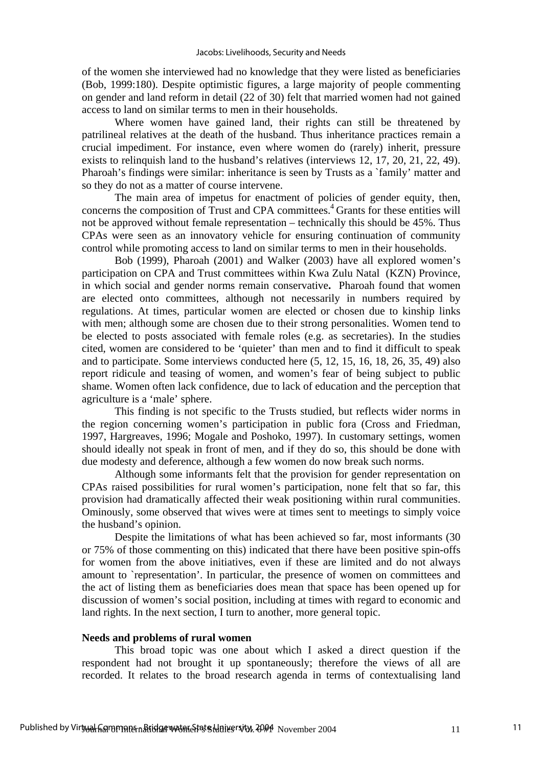of the women she interviewed had no knowledge that they were listed as beneficiaries (Bob, 1999:180). Despite optimistic figures, a large majority of people commenting on gender and land reform in detail (22 of 30) felt that married women had not gained access to land on similar terms to men in their households.

Where women have gained land, their rights can still be threatened by patrilineal relatives at the death of the husband. Thus inheritance practices remain a crucial impediment. For instance, even where women do (rarely) inherit, pressure exists to relinquish land to the husband's relatives (interviews 12, 17, 20, 21, 22, 49). Pharoah's findings were similar: inheritance is seen by Trusts as a `family' matter and so they do not as a matter of course intervene.

The main area of impetus for enactment of policies of gender equity, then, concerns the composition of Trust and CPA committees.<sup>4</sup> Grants for these entities will not be approved without female representation – technically this should be 45%. Thus CPAs were seen as an innovatory vehicle for ensuring continuation of community control while promoting access to land on similar terms to men in their households.

Bob (1999), Pharoah (2001) and Walker (2003) have all explored women's participation on CPA and Trust committees within Kwa Zulu Natal (KZN) Province, in which social and gender norms remain conservative**.** Pharoah found that women are elected onto committees, although not necessarily in numbers required by regulations. At times, particular women are elected or chosen due to kinship links with men; although some are chosen due to their strong personalities. Women tend to be elected to posts associated with female roles (e.g. as secretaries). In the studies cited, women are considered to be 'quieter' than men and to find it difficult to speak and to participate. Some interviews conducted here (5, 12, 15, 16, 18, 26, 35, 49) also report ridicule and teasing of women, and women's fear of being subject to public shame. Women often lack confidence, due to lack of education and the perception that agriculture is a 'male' sphere.

This finding is not specific to the Trusts studied, but reflects wider norms in the region concerning women's participation in public fora (Cross and Friedman, 1997, Hargreaves, 1996; Mogale and Poshoko, 1997). In customary settings, women should ideally not speak in front of men, and if they do so, this should be done with due modesty and deference, although a few women do now break such norms.

Although some informants felt that the provision for gender representation on CPAs raised possibilities for rural women's participation, none felt that so far, this provision had dramatically affected their weak positioning within rural communities. Ominously, some observed that wives were at times sent to meetings to simply voice the husband's opinion.

Despite the limitations of what has been achieved so far, most informants (30 or 75% of those commenting on this) indicated that there have been positive spin-offs for women from the above initiatives, even if these are limited and do not always amount to `representation'. In particular, the presence of women on committees and the act of listing them as beneficiaries does mean that space has been opened up for discussion of women's social position, including at times with regard to economic and land rights. In the next section, I turn to another, more general topic.

#### **Needs and problems of rural women**

This broad topic was one about which I asked a direct question if the respondent had not brought it up spontaneously; therefore the views of all are recorded. It relates to the broad research agenda in terms of contextualising land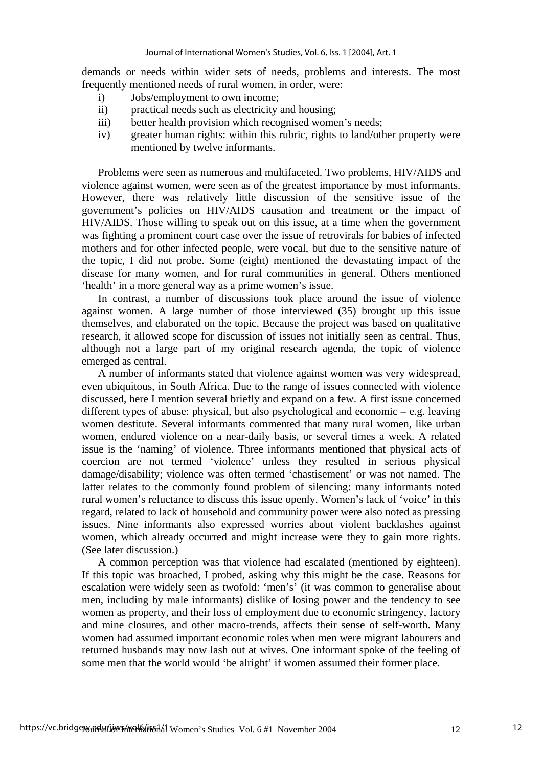demands or needs within wider sets of needs, problems and interests. The most frequently mentioned needs of rural women, in order, were:

- i) Jobs/employment to own income;
- ii) practical needs such as electricity and housing;
- iii) better health provision which recognised women's needs;
- iv) greater human rights: within this rubric, rights to land/other property were mentioned by twelve informants.

Problems were seen as numerous and multifaceted. Two problems, HIV/AIDS and violence against women, were seen as of the greatest importance by most informants. However, there was relatively little discussion of the sensitive issue of the government's policies on HIV/AIDS causation and treatment or the impact of HIV/AIDS. Those willing to speak out on this issue, at a time when the government was fighting a prominent court case over the issue of retrovirals for babies of infected mothers and for other infected people, were vocal, but due to the sensitive nature of the topic, I did not probe. Some (eight) mentioned the devastating impact of the disease for many women, and for rural communities in general. Others mentioned 'health' in a more general way as a prime women's issue.

In contrast, a number of discussions took place around the issue of violence against women. A large number of those interviewed (35) brought up this issue themselves, and elaborated on the topic. Because the project was based on qualitative research, it allowed scope for discussion of issues not initially seen as central. Thus, although not a large part of my original research agenda, the topic of violence emerged as central.

A number of informants stated that violence against women was very widespread, even ubiquitous, in South Africa. Due to the range of issues connected with violence discussed, here I mention several briefly and expand on a few. A first issue concerned different types of abuse: physical, but also psychological and economic – e.g. leaving women destitute. Several informants commented that many rural women, like urban women, endured violence on a near-daily basis, or several times a week. A related issue is the 'naming' of violence. Three informants mentioned that physical acts of coercion are not termed 'violence' unless they resulted in serious physical damage/disability; violence was often termed 'chastisement' or was not named. The latter relates to the commonly found problem of silencing: many informants noted rural women's reluctance to discuss this issue openly. Women's lack of 'voice' in this regard, related to lack of household and community power were also noted as pressing issues. Nine informants also expressed worries about violent backlashes against women, which already occurred and might increase were they to gain more rights. (See later discussion.)

A common perception was that violence had escalated (mentioned by eighteen). If this topic was broached, I probed, asking why this might be the case. Reasons for escalation were widely seen as twofold: 'men's' (it was common to generalise about men, including by male informants) dislike of losing power and the tendency to see women as property, and their loss of employment due to economic stringency, factory and mine closures, and other macro-trends, affects their sense of self-worth. Many women had assumed important economic roles when men were migrant labourers and returned husbands may now lash out at wives. One informant spoke of the feeling of some men that the world would 'be alright' if women assumed their former place.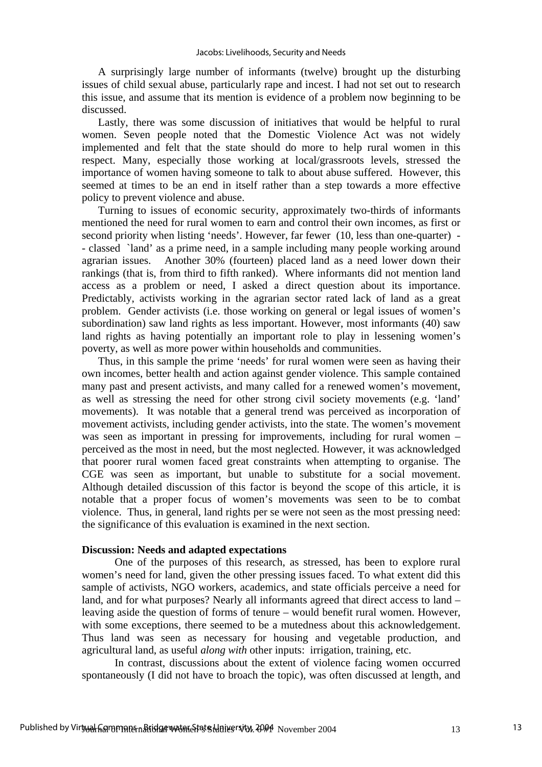A surprisingly large number of informants (twelve) brought up the disturbing issues of child sexual abuse, particularly rape and incest. I had not set out to research this issue, and assume that its mention is evidence of a problem now beginning to be discussed.

Lastly, there was some discussion of initiatives that would be helpful to rural women. Seven people noted that the Domestic Violence Act was not widely implemented and felt that the state should do more to help rural women in this respect. Many, especially those working at local/grassroots levels, stressed the importance of women having someone to talk to about abuse suffered. However, this seemed at times to be an end in itself rather than a step towards a more effective policy to prevent violence and abuse.

Turning to issues of economic security, approximately two-thirds of informants mentioned the need for rural women to earn and control their own incomes, as first or second priority when listing 'needs'. However, far fewer (10, less than one-quarter) - - classed `land' as a prime need, in a sample including many people working around agrarian issues. Another 30% (fourteen) placed land as a need lower down their rankings (that is, from third to fifth ranked). Where informants did not mention land access as a problem or need, I asked a direct question about its importance. Predictably, activists working in the agrarian sector rated lack of land as a great problem. Gender activists (i.e. those working on general or legal issues of women's subordination) saw land rights as less important. However, most informants (40) saw land rights as having potentially an important role to play in lessening women's poverty, as well as more power within households and communities.

Thus, in this sample the prime 'needs' for rural women were seen as having their own incomes, better health and action against gender violence. This sample contained many past and present activists, and many called for a renewed women's movement, as well as stressing the need for other strong civil society movements (e.g. 'land' movements). It was notable that a general trend was perceived as incorporation of movement activists, including gender activists, into the state. The women's movement was seen as important in pressing for improvements, including for rural women – perceived as the most in need, but the most neglected. However, it was acknowledged that poorer rural women faced great constraints when attempting to organise. The CGE was seen as important, but unable to substitute for a social movement. Although detailed discussion of this factor is beyond the scope of this article, it is notable that a proper focus of women's movements was seen to be to combat violence. Thus, in general, land rights per se were not seen as the most pressing need: the significance of this evaluation is examined in the next section.

## **Discussion: Needs and adapted expectations**

One of the purposes of this research, as stressed, has been to explore rural women's need for land, given the other pressing issues faced. To what extent did this sample of activists, NGO workers, academics, and state officials perceive a need for land, and for what purposes? Nearly all informants agreed that direct access to land – leaving aside the question of forms of tenure – would benefit rural women. However, with some exceptions, there seemed to be a mutedness about this acknowledgement. Thus land was seen as necessary for housing and vegetable production, and agricultural land, as useful *along with* other inputs: irrigation, training, etc.

In contrast, discussions about the extent of violence facing women occurred spontaneously (I did not have to broach the topic), was often discussed at length, and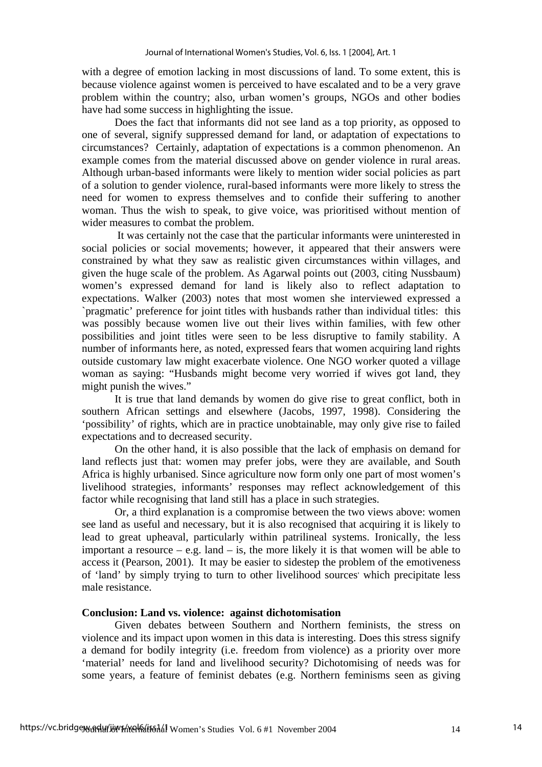with a degree of emotion lacking in most discussions of land. To some extent, this is because violence against women is perceived to have escalated and to be a very grave problem within the country; also, urban women's groups, NGOs and other bodies have had some success in highlighting the issue.

Does the fact that informants did not see land as a top priority, as opposed to one of several, signify suppressed demand for land, or adaptation of expectations to circumstances? Certainly, adaptation of expectations is a common phenomenon. An example comes from the material discussed above on gender violence in rural areas. Although urban-based informants were likely to mention wider social policies as part of a solution to gender violence, rural-based informants were more likely to stress the need for women to express themselves and to confide their suffering to another woman. Thus the wish to speak, to give voice, was prioritised without mention of wider measures to combat the problem.

 It was certainly not the case that the particular informants were uninterested in social policies or social movements; however, it appeared that their answers were constrained by what they saw as realistic given circumstances within villages, and given the huge scale of the problem. As Agarwal points out (2003, citing Nussbaum) women's expressed demand for land is likely also to reflect adaptation to expectations. Walker (2003) notes that most women she interviewed expressed a `pragmatic' preference for joint titles with husbands rather than individual titles: this was possibly because women live out their lives within families, with few other possibilities and joint titles were seen to be less disruptive to family stability. A number of informants here, as noted, expressed fears that women acquiring land rights outside customary law might exacerbate violence. One NGO worker quoted a village woman as saying: "Husbands might become very worried if wives got land, they might punish the wives."

It is true that land demands by women do give rise to great conflict, both in southern African settings and elsewhere (Jacobs, 1997, 1998). Considering the 'possibility' of rights, which are in practice unobtainable, may only give rise to failed expectations and to decreased security.

On the other hand, it is also possible that the lack of emphasis on demand for land reflects just that: women may prefer jobs, were they are available, and South Africa is highly urbanised. Since agriculture now form only one part of most women's livelihood strategies, informants' responses may reflect acknowledgement of this factor while recognising that land still has a place in such strategies.

Or, a third explanation is a compromise between the two views above: women see land as useful and necessary, but it is also recognised that acquiring it is likely to lead to great upheaval, particularly within patrilineal systems. Ironically, the less important a resource  $-$  e.g. land  $-$  is, the more likely it is that women will be able to access it (Pearson, 2001). It may be easier to sidestep the problem of the emotiveness of 'land' by simply trying to turn to other livelihood sources' which precipitate less male resistance.

## **Conclusion: Land vs. violence: against dichotomisation**

Given debates between Southern and Northern feminists, the stress on violence and its impact upon women in this data is interesting. Does this stress signify a demand for bodily integrity (i.e. freedom from violence) as a priority over more 'material' needs for land and livelihood security? Dichotomising of needs was for some years, a feature of feminist debates (e.g. Northern feminisms seen as giving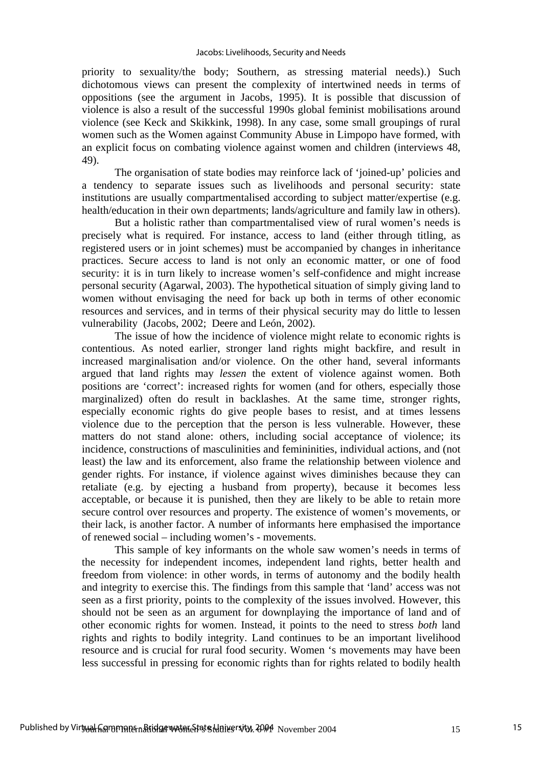priority to sexuality/the body; Southern, as stressing material needs).) Such dichotomous views can present the complexity of intertwined needs in terms of oppositions (see the argument in Jacobs, 1995). It is possible that discussion of violence is also a result of the successful 1990s global feminist mobilisations around violence (see Keck and Skikkink, 1998). In any case, some small groupings of rural women such as the Women against Community Abuse in Limpopo have formed, with an explicit focus on combating violence against women and children (interviews 48, 49).

The organisation of state bodies may reinforce lack of 'joined-up' policies and a tendency to separate issues such as livelihoods and personal security: state institutions are usually compartmentalised according to subject matter/expertise (e.g. health/education in their own departments; lands/agriculture and family law in others).

But a holistic rather than compartmentalised view of rural women's needs is precisely what is required. For instance, access to land (either through titling, as registered users or in joint schemes) must be accompanied by changes in inheritance practices. Secure access to land is not only an economic matter, or one of food security: it is in turn likely to increase women's self-confidence and might increase personal security (Agarwal, 2003). The hypothetical situation of simply giving land to women without envisaging the need for back up both in terms of other economic resources and services, and in terms of their physical security may do little to lessen vulnerability (Jacobs, 2002; Deere and León, 2002).

The issue of how the incidence of violence might relate to economic rights is contentious. As noted earlier, stronger land rights might backfire, and result in increased marginalisation and/or violence. On the other hand, several informants argued that land rights may *lessen* the extent of violence against women. Both positions are 'correct': increased rights for women (and for others, especially those marginalized) often do result in backlashes. At the same time, stronger rights, especially economic rights do give people bases to resist, and at times lessens violence due to the perception that the person is less vulnerable. However, these matters do not stand alone: others, including social acceptance of violence; its incidence, constructions of masculinities and femininities, individual actions, and (not least) the law and its enforcement, also frame the relationship between violence and gender rights. For instance, if violence against wives diminishes because they can retaliate (e.g. by ejecting a husband from property), because it becomes less acceptable, or because it is punished, then they are likely to be able to retain more secure control over resources and property. The existence of women's movements, or their lack, is another factor. A number of informants here emphasised the importance of renewed social – including women's - movements.

This sample of key informants on the whole saw women's needs in terms of the necessity for independent incomes, independent land rights, better health and freedom from violence: in other words, in terms of autonomy and the bodily health and integrity to exercise this. The findings from this sample that 'land' access was not seen as a first priority, points to the complexity of the issues involved. However, this should not be seen as an argument for downplaying the importance of land and of other economic rights for women. Instead, it points to the need to stress *both* land rights and rights to bodily integrity. Land continues to be an important livelihood resource and is crucial for rural food security. Women 's movements may have been less successful in pressing for economic rights than for rights related to bodily health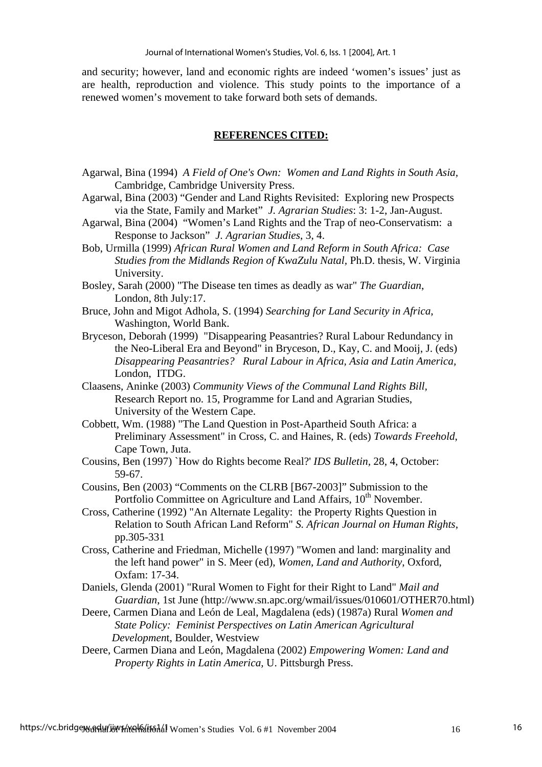and security; however, land and economic rights are indeed 'women's issues' just as are health, reproduction and violence. This study points to the importance of a renewed women's movement to take forward both sets of demands.

## **REFERENCES CITED:**

- Agarwal, Bina (1994) *A Field of One's Own: Women and Land Rights in South Asia,*  Cambridge, Cambridge University Press.
- Agarwal, Bina (2003) "Gender and Land Rights Revisited: Exploring new Prospects via the State, Family and Market" *J. Agrarian Studies*: 3: 1-2, Jan-August.
- Agarwal, Bina (2004) "Women's Land Rights and the Trap of neo-Conservatism: a Response to Jackson" *J. Agrarian Studies*, 3, 4.
- Bob, Urmilla (1999) *African Rural Women and Land Reform in South Africa: Case Studies from the Midlands Region of KwaZulu Natal,* Ph.D. thesis, W. Virginia University.
- Bosley, Sarah (2000) "The Disease ten times as deadly as war" *The Guardian*, London, 8th July:17.
- Bruce, John and Migot Adhola, S. (1994) *Searching for Land Security in Africa*, Washington, World Bank.
- Bryceson, Deborah (1999) "Disappearing Peasantries? Rural Labour Redundancy in the Neo-Liberal Era and Beyond" in Bryceson, D., Kay, C. and Mooij, J. (eds) *Disappearing Peasantries? Rural Labour in Africa, Asia and Latin America,*  London, ITDG.
- Claasens, Aninke (2003) *Community Views of the Communal Land Rights Bill,*  Research Report no. 15, Programme for Land and Agrarian Studies, University of the Western Cape.
- Cobbett, Wm. (1988) "The Land Question in Post-Apartheid South Africa: a Preliminary Assessment" in Cross, C. and Haines, R. (eds) *Towards Freehold*, Cape Town, Juta.
- Cousins, Ben (1997) `How do Rights become Real?' *IDS Bulletin,* 28, 4, October: 59-67.
- Cousins, Ben (2003) "Comments on the CLRB [B67-2003]" Submission to the Portfolio Committee on Agriculture and Land Affairs, 10<sup>th</sup> November.
- Cross, Catherine (1992) "An Alternate Legality: the Property Rights Question in Relation to South African Land Reform" *S. African Journal on Human Rights*, pp.305-331
- Cross, Catherine and Friedman, Michelle (1997) "Women and land: marginality and the left hand power" in S. Meer (ed), *Women, Land and Authority*, Oxford, Oxfam: 17-34.
- Daniels, Glenda (2001) "Rural Women to Fight for their Right to Land" *Mail and Guardian*, 1st June (http://www.sn.apc.org/wmail/issues/010601/OTHER70.html)
- Deere, Carmen Diana and León de Leal, Magdalena (eds) (1987a) Rural *Women and State Policy: Feminist Perspectives on Latin American Agricultural Developmen*t, Boulder, Westview
- Deere, Carmen Diana and León, Magdalena (2002) *Empowering Women: Land and Property Rights in Latin America,* U. Pittsburgh Press.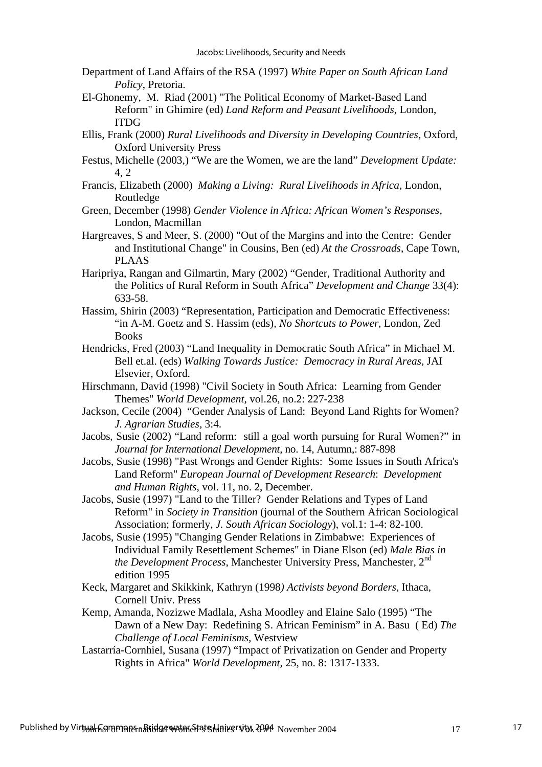- Department of Land Affairs of the RSA (1997) *White Paper on South African Land Policy*, Pretoria.
- El-Ghonemy, M. Riad (2001) "The Political Economy of Market-Based Land Reform" in Ghimire (ed) *Land Reform and Peasant Livelihoods,* London, ITDG
- Ellis, Frank (2000) *Rural Livelihoods and Diversity in Developing Countries*, Oxford, Oxford University Press
- Festus, Michelle (2003,) "We are the Women, we are the land" *Development Update:*  4, 2
- Francis, Elizabeth (2000) *Making a Living: Rural Livelihoods in Africa*, London, Routledge
- Green, December (1998) *Gender Violence in Africa: African Women's Responses,* London, Macmillan
- Hargreaves, S and Meer, S. (2000) "Out of the Margins and into the Centre: Gender and Institutional Change" in Cousins, Ben (ed) *At the Crossroads*, Cape Town, PLAAS
- Haripriya, Rangan and Gilmartin, Mary (2002) "Gender, Traditional Authority and the Politics of Rural Reform in South Africa" *Development and Change* 33(4): 633-58.
- Hassim, Shirin (2003) "Representation, Participation and Democratic Effectiveness: "in A-M. Goetz and S. Hassim (eds)*, No Shortcuts to Power*, London, Zed **Books**
- Hendricks, Fred (2003) "Land Inequality in Democratic South Africa" in Michael M. Bell et.al. (eds) *Walking Towards Justice: Democracy in Rural Areas,* JAI Elsevier, Oxford.
- Hirschmann, David (1998) "Civil Society in South Africa: Learning from Gender Themes" *World Development*, vol.26, no.2: 227-238
- Jackson, Cecile (2004) "Gender Analysis of Land: Beyond Land Rights for Women? *J. Agrarian Studies,* 3:4.
- Jacobs, Susie (2002) "Land reform: still a goal worth pursuing for Rural Women?" in *Journal for International Development*, no. 14, Autumn,: 887-898
- Jacobs, Susie (1998) "Past Wrongs and Gender Rights: Some Issues in South Africa's Land Reform" *European Journal of Development Research*: *Development and Human Rights*, vol. 11, no. 2, December.
- Jacobs, Susie (1997) "Land to the Tiller? Gender Relations and Types of Land Reform" in *Society in Transition* (journal of the Southern African Sociological Association; formerly, *J. South African Sociology*), vol.1: 1-4: 82-100.
- Jacobs, Susie (1995) "Changing Gender Relations in Zimbabwe: Experiences of Individual Family Resettlement Schemes" in Diane Elson (ed) *Male Bias in the Development Process*, Manchester University Press, Manchester, 2<sup>nd</sup> edition 1995
- Keck, Margaret and Skikkink, Kathryn (1998*) Activists beyond Borders*, Ithaca, Cornell Univ. Press
- Kemp, Amanda, Nozizwe Madlala, Asha Moodley and Elaine Salo (1995) "The Dawn of a New Day: Redefining S. African Feminism" in A. Basu ( Ed) *The Challenge of Local Feminisms,* Westview
- Lastarría-Cornhiel, Susana (1997) "Impact of Privatization on Gender and Property Rights in Africa" *World Development*, 25, no. 8: 1317-1333.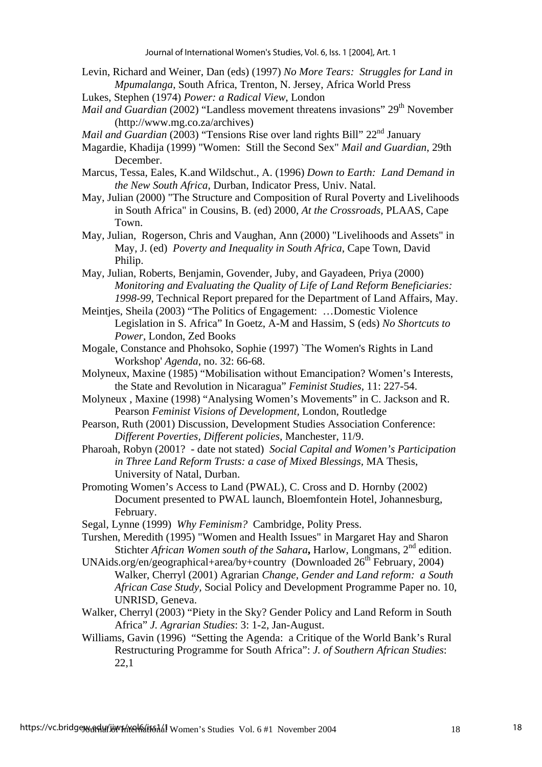- Levin, Richard and Weiner, Dan (eds) (1997) *No More Tears: Struggles for Land in Mpumalanga*, South Africa, Trenton, N. Jersey, Africa World Press
- Lukes, Stephen (1974) *Power: a Radical View*, London
- *Mail and Guardian* (2002) "Landless movement threatens invasions" 29<sup>th</sup> November (http://www.mg.co.za/archives)

*Mail and Guardian* (2003) "Tensions Rise over land rights Bill" 22<sup>nd</sup> January

- Magardie, Khadija (1999) "Women: Still the Second Sex" *Mail and Guardian*, 29th December.
- Marcus, Tessa, Eales, K.and Wildschut., A. (1996) *Down to Earth: Land Demand in the New South Africa*, Durban, Indicator Press, Univ. Natal.
- May, Julian (2000) "The Structure and Composition of Rural Poverty and Livelihoods in South Africa" in Cousins, B. (ed) 2000, *At the Crossroads,* PLAAS, Cape Town.
- May, Julian, Rogerson, Chris and Vaughan, Ann (2000) "Livelihoods and Assets" in May, J. (ed) *Poverty and Inequality in South Africa*, Cape Town, David Philip.
- May, Julian, Roberts, Benjamin, Govender, Juby, and Gayadeen, Priya (2000) *Monitoring and Evaluating the Quality of Life of Land Reform Beneficiaries: 1998-99*, Technical Report prepared for the Department of Land Affairs, May.
- Meintjes, Sheila (2003) "The Politics of Engagement: …Domestic Violence Legislation in S. Africa" In Goetz, A-M and Hassim, S (eds) *No Shortcuts to Power*, London, Zed Books
- Mogale, Constance and Phohsoko, Sophie (1997) `The Women's Rights in Land Workshop' *Agenda*, no. 32: 66-68.
- Molyneux, Maxine (1985) "Mobilisation without Emancipation? Women's Interests, the State and Revolution in Nicaragua" *Feminist Studies*, 11: 227-54.
- Molyneux , Maxine (1998) "Analysing Women's Movements" in C. Jackson and R. Pearson *Feminist Visions of Development,* London, Routledge
- Pearson, Ruth (2001) Discussion, Development Studies Association Conference: *Different Poverties, Different policies,* Manchester, 11/9.
- Pharoah, Robyn (2001? date not stated) *Social Capital and Women's Participation in Three Land Reform Trusts: a case of Mixed Blessings,* MA Thesis, University of Natal, Durban.
- Promoting Women's Access to Land (PWAL), C. Cross and D. Hornby (2002) Document presented to PWAL launch, Bloemfontein Hotel, Johannesburg, February.
- Segal, Lynne (1999) *Why Feminism?* Cambridge, Polity Press.
- Turshen, Meredith (1995) "Women and Health Issues" in Margaret Hay and Sharon Stichter *African Women south of the Sahara*, Harlow, Longmans, 2<sup>nd</sup> edition.
- UNAids.org/en/geographical+area/by+country (Downloaded  $26<sup>th</sup>$  February, 2004) Walker, Cherryl (2001) Agrarian *Change, Gender and Land reform: a South African Case Study,* Social Policy and Development Programme Paper no. 10, UNRISD, Geneva.
- Walker, Cherryl (2003) "Piety in the Sky? Gender Policy and Land Reform in South Africa" *J. Agrarian Studies*: 3: 1-2, Jan-August.
- Williams, Gavin (1996) "Setting the Agenda: a Critique of the World Bank's Rural Restructuring Programme for South Africa": *J. of Southern African Studies*: 22,1